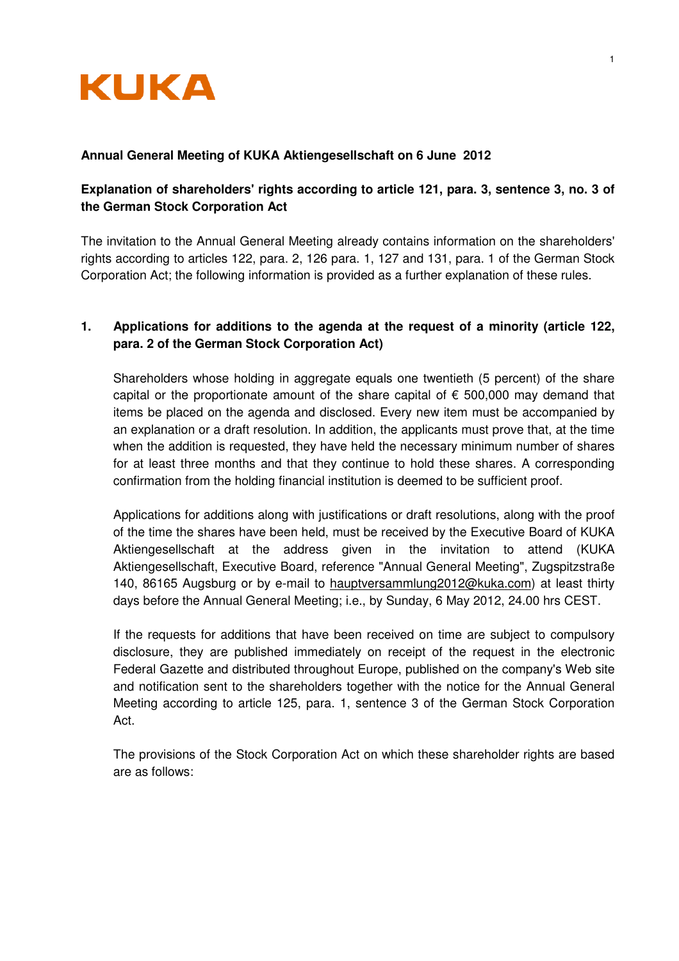

## **Annual General Meeting of KUKA Aktiengesellschaft on 6 June 2012**

# **Explanation of shareholders' rights according to article 121, para. 3, sentence 3, no. 3 of the German Stock Corporation Act**

The invitation to the Annual General Meeting already contains information on the shareholders' rights according to articles 122, para. 2, 126 para. 1, 127 and 131, para. 1 of the German Stock Corporation Act; the following information is provided as a further explanation of these rules.

# **1. Applications for additions to the agenda at the request of a minority (article 122, para. 2 of the German Stock Corporation Act)**

Shareholders whose holding in aggregate equals one twentieth (5 percent) of the share capital or the proportionate amount of the share capital of  $\epsilon$  500,000 may demand that items be placed on the agenda and disclosed. Every new item must be accompanied by an explanation or a draft resolution. In addition, the applicants must prove that, at the time when the addition is requested, they have held the necessary minimum number of shares for at least three months and that they continue to hold these shares. A corresponding confirmation from the holding financial institution is deemed to be sufficient proof.

Applications for additions along with justifications or draft resolutions, along with the proof of the time the shares have been held, must be received by the Executive Board of KUKA Aktiengesellschaft at the address given in the invitation to attend (KUKA Aktiengesellschaft, Executive Board, reference "Annual General Meeting", Zugspitzstraße 140, 86165 Augsburg or by e-mail to hauptversammlung2012@kuka.com) at least thirty days before the Annual General Meeting; i.e., by Sunday, 6 May 2012, 24.00 hrs CEST.

If the requests for additions that have been received on time are subject to compulsory disclosure, they are published immediately on receipt of the request in the electronic Federal Gazette and distributed throughout Europe, published on the company's Web site and notification sent to the shareholders together with the notice for the Annual General Meeting according to article 125, para. 1, sentence 3 of the German Stock Corporation Act.

The provisions of the Stock Corporation Act on which these shareholder rights are based are as follows: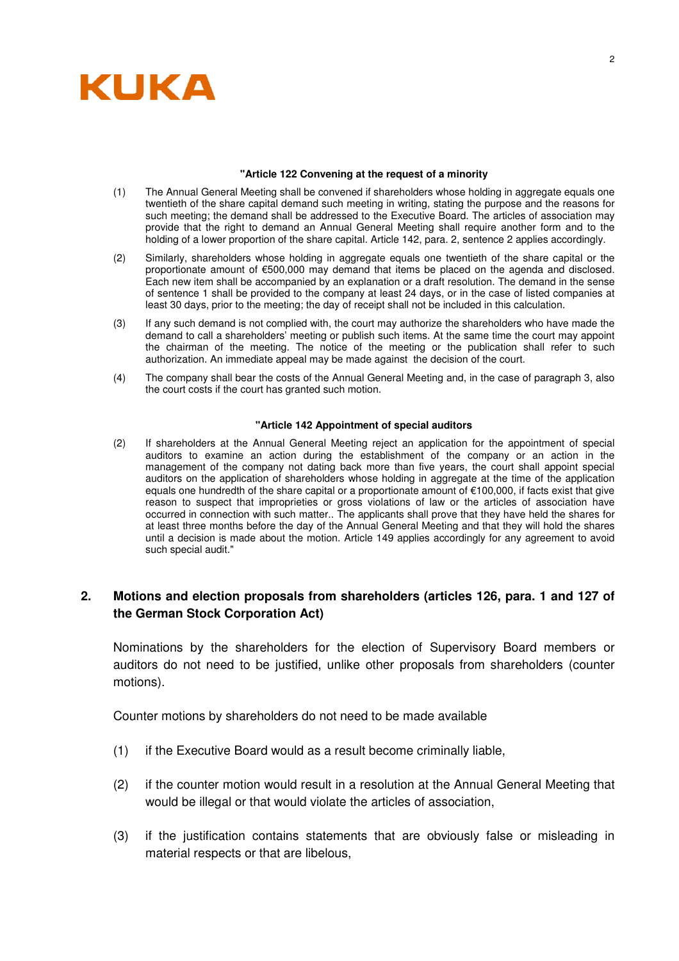

#### **"Article 122 Convening at the request of a minority**

- (1) The Annual General Meeting shall be convened if shareholders whose holding in aggregate equals one twentieth of the share capital demand such meeting in writing, stating the purpose and the reasons for such meeting; the demand shall be addressed to the Executive Board. The articles of association may provide that the right to demand an Annual General Meeting shall require another form and to the holding of a lower proportion of the share capital. Article 142, para. 2, sentence 2 applies accordingly.
- (2) Similarly, shareholders whose holding in aggregate equals one twentieth of the share capital or the proportionate amount of €500,000 may demand that items be placed on the agenda and disclosed. Each new item shall be accompanied by an explanation or a draft resolution. The demand in the sense of sentence 1 shall be provided to the company at least 24 days, or in the case of listed companies at least 30 days, prior to the meeting; the day of receipt shall not be included in this calculation.
- (3) If any such demand is not complied with, the court may authorize the shareholders who have made the demand to call a shareholders' meeting or publish such items. At the same time the court may appoint the chairman of the meeting. The notice of the meeting or the publication shall refer to such authorization. An immediate appeal may be made against the decision of the court.
- (4) The company shall bear the costs of the Annual General Meeting and, in the case of paragraph 3, also the court costs if the court has granted such motion.

### **"Article 142 Appointment of special auditors**

(2) If shareholders at the Annual General Meeting reject an application for the appointment of special auditors to examine an action during the establishment of the company or an action in the management of the company not dating back more than five years, the court shall appoint special auditors on the application of shareholders whose holding in aggregate at the time of the application equals one hundredth of the share capital or a proportionate amount of €100,000, if facts exist that give reason to suspect that improprieties or gross violations of law or the articles of association have occurred in connection with such matter.. The applicants shall prove that they have held the shares for at least three months before the day of the Annual General Meeting and that they will hold the shares until a decision is made about the motion. Article 149 applies accordingly for any agreement to avoid such special audit."

## **2. Motions and election proposals from shareholders (articles 126, para. 1 and 127 of the German Stock Corporation Act)**

Nominations by the shareholders for the election of Supervisory Board members or auditors do not need to be justified, unlike other proposals from shareholders (counter motions).

Counter motions by shareholders do not need to be made available

- (1) if the Executive Board would as a result become criminally liable,
- (2) if the counter motion would result in a resolution at the Annual General Meeting that would be illegal or that would violate the articles of association,
- (3) if the justification contains statements that are obviously false or misleading in material respects or that are libelous,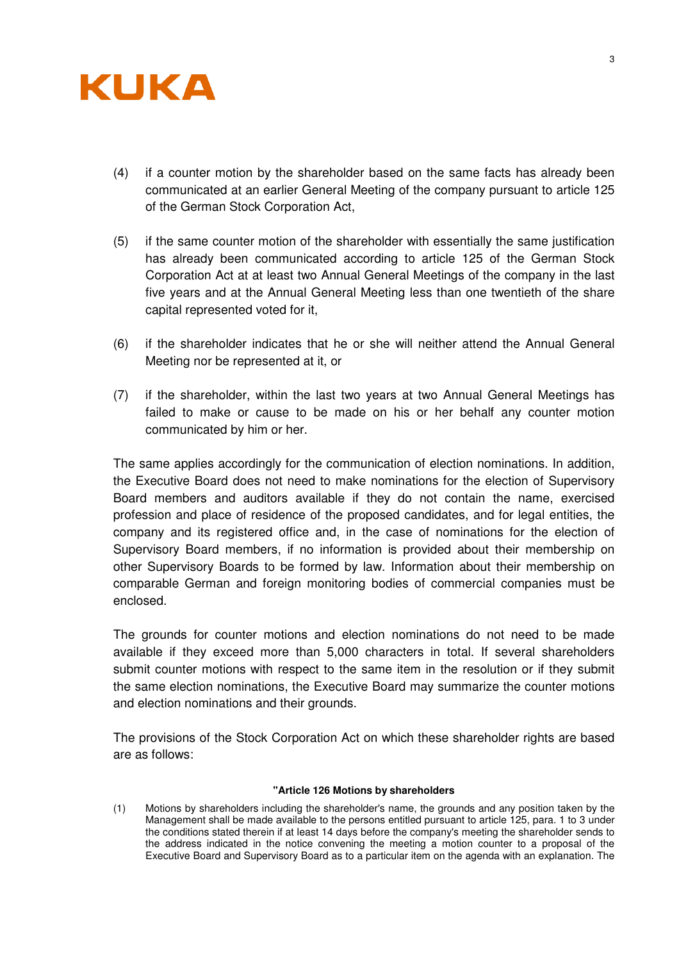

- (4) if a counter motion by the shareholder based on the same facts has already been communicated at an earlier General Meeting of the company pursuant to article 125 of the German Stock Corporation Act,
- (5) if the same counter motion of the shareholder with essentially the same justification has already been communicated according to article 125 of the German Stock Corporation Act at at least two Annual General Meetings of the company in the last five years and at the Annual General Meeting less than one twentieth of the share capital represented voted for it,
- (6) if the shareholder indicates that he or she will neither attend the Annual General Meeting nor be represented at it, or
- (7) if the shareholder, within the last two years at two Annual General Meetings has failed to make or cause to be made on his or her behalf any counter motion communicated by him or her.

The same applies accordingly for the communication of election nominations. In addition, the Executive Board does not need to make nominations for the election of Supervisory Board members and auditors available if they do not contain the name, exercised profession and place of residence of the proposed candidates, and for legal entities, the company and its registered office and, in the case of nominations for the election of Supervisory Board members, if no information is provided about their membership on other Supervisory Boards to be formed by law. Information about their membership on comparable German and foreign monitoring bodies of commercial companies must be enclosed.

The grounds for counter motions and election nominations do not need to be made available if they exceed more than 5,000 characters in total. If several shareholders submit counter motions with respect to the same item in the resolution or if they submit the same election nominations, the Executive Board may summarize the counter motions and election nominations and their grounds.

The provisions of the Stock Corporation Act on which these shareholder rights are based are as follows:

### **"Article 126 Motions by shareholders**

(1) Motions by shareholders including the shareholder's name, the grounds and any position taken by the Management shall be made available to the persons entitled pursuant to article 125, para. 1 to 3 under the conditions stated therein if at least 14 days before the company's meeting the shareholder sends to the address indicated in the notice convening the meeting a motion counter to a proposal of the Executive Board and Supervisory Board as to a particular item on the agenda with an explanation. The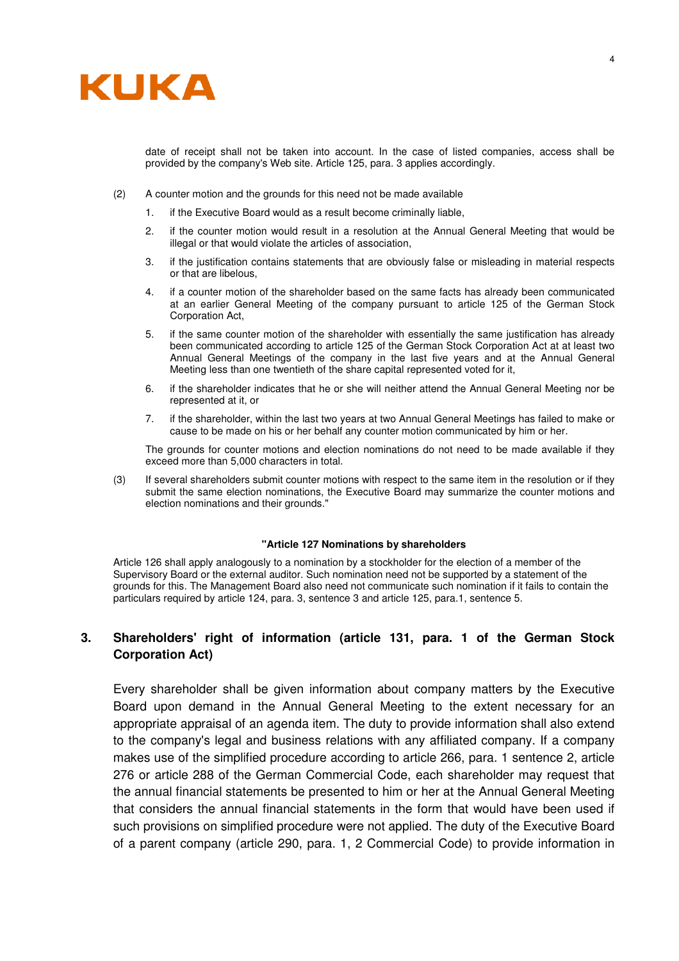

date of receipt shall not be taken into account. In the case of listed companies, access shall be provided by the company's Web site. Article 125, para. 3 applies accordingly.

- (2) A counter motion and the grounds for this need not be made available
	- 1. if the Executive Board would as a result become criminally liable,
	- 2. if the counter motion would result in a resolution at the Annual General Meeting that would be illegal or that would violate the articles of association,
	- 3. if the justification contains statements that are obviously false or misleading in material respects or that are libelous,
	- 4. if a counter motion of the shareholder based on the same facts has already been communicated at an earlier General Meeting of the company pursuant to article 125 of the German Stock Corporation Act,
	- 5. if the same counter motion of the shareholder with essentially the same justification has already been communicated according to article 125 of the German Stock Corporation Act at at least two Annual General Meetings of the company in the last five years and at the Annual General Meeting less than one twentieth of the share capital represented voted for it,
	- 6. if the shareholder indicates that he or she will neither attend the Annual General Meeting nor be represented at it, or
	- 7. if the shareholder, within the last two years at two Annual General Meetings has failed to make or cause to be made on his or her behalf any counter motion communicated by him or her.

The grounds for counter motions and election nominations do not need to be made available if they exceed more than 5,000 characters in total.

(3) If several shareholders submit counter motions with respect to the same item in the resolution or if they submit the same election nominations, the Executive Board may summarize the counter motions and election nominations and their grounds."

### **"Article 127 Nominations by shareholders**

Article 126 shall apply analogously to a nomination by a stockholder for the election of a member of the Supervisory Board or the external auditor. Such nomination need not be supported by a statement of the grounds for this. The Management Board also need not communicate such nomination if it fails to contain the particulars required by article 124, para. 3, sentence 3 and article 125, para.1, sentence 5.

### **3. Shareholders' right of information (article 131, para. 1 of the German Stock Corporation Act)**

Every shareholder shall be given information about company matters by the Executive Board upon demand in the Annual General Meeting to the extent necessary for an appropriate appraisal of an agenda item. The duty to provide information shall also extend to the company's legal and business relations with any affiliated company. If a company makes use of the simplified procedure according to article 266, para. 1 sentence 2, article 276 or article 288 of the German Commercial Code, each shareholder may request that the annual financial statements be presented to him or her at the Annual General Meeting that considers the annual financial statements in the form that would have been used if such provisions on simplified procedure were not applied. The duty of the Executive Board of a parent company (article 290, para. 1, 2 Commercial Code) to provide information in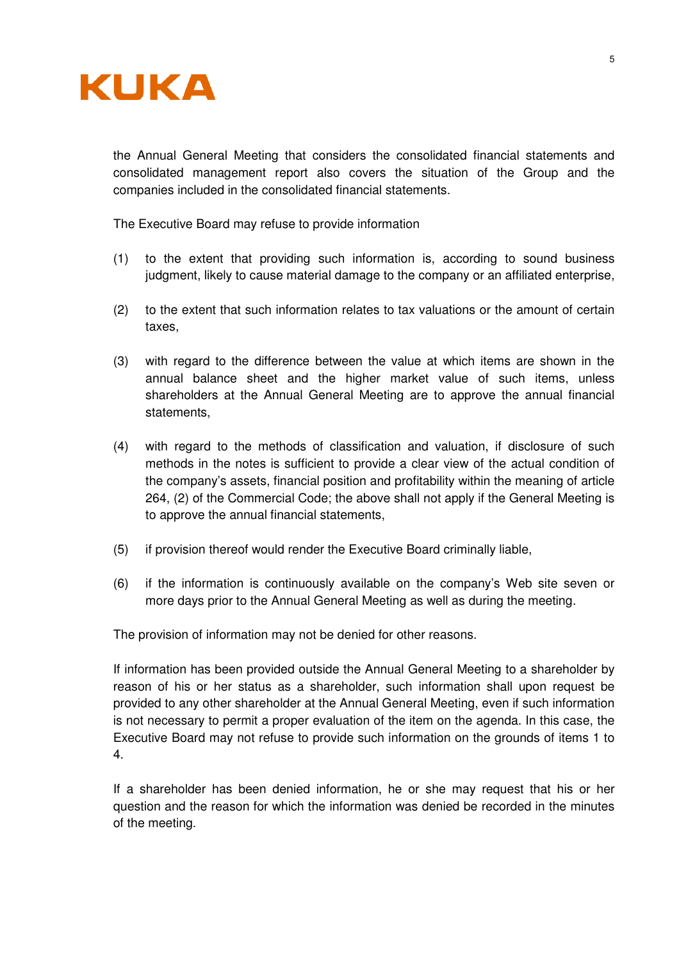

the Annual General Meeting that considers the consolidated financial statements and consolidated management report also covers the situation of the Group and the companies included in the consolidated financial statements.

The Executive Board may refuse to provide information

- (1) to the extent that providing such information is, according to sound business judgment, likely to cause material damage to the company or an affiliated enterprise,
- (2) to the extent that such information relates to tax valuations or the amount of certain taxes,
- (3) with regard to the difference between the value at which items are shown in the annual balance sheet and the higher market value of such items, unless shareholders at the Annual General Meeting are to approve the annual financial statements,
- (4) with regard to the methods of classification and valuation, if disclosure of such methods in the notes is sufficient to provide a clear view of the actual condition of the company's assets, financial position and profitability within the meaning of article 264, (2) of the Commercial Code; the above shall not apply if the General Meeting is to approve the annual financial statements,
- (5) if provision thereof would render the Executive Board criminally liable,
- (6) if the information is continuously available on the company's Web site seven or more days prior to the Annual General Meeting as well as during the meeting.

The provision of information may not be denied for other reasons.

If information has been provided outside the Annual General Meeting to a shareholder by reason of his or her status as a shareholder, such information shall upon request be provided to any other shareholder at the Annual General Meeting, even if such information is not necessary to permit a proper evaluation of the item on the agenda. In this case, the Executive Board may not refuse to provide such information on the grounds of items 1 to 4.

If a shareholder has been denied information, he or she may request that his or her question and the reason for which the information was denied be recorded in the minutes of the meeting.